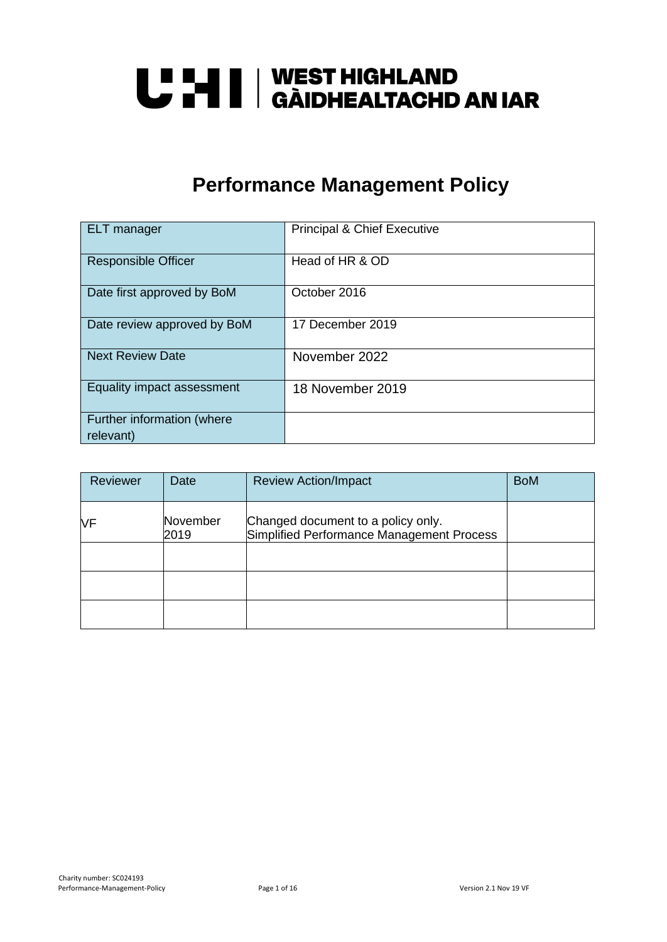# U LI | WEST HIGHLAND<br>U L'I | GÀIDHEALTACHD AN IAR

### **Performance Management Policy**

| <b>ELT</b> manager                      | <b>Principal &amp; Chief Executive</b> |
|-----------------------------------------|----------------------------------------|
| <b>Responsible Officer</b>              | Head of HR & OD                        |
| Date first approved by BoM              | October 2016                           |
| Date review approved by BoM             | 17 December 2019                       |
| <b>Next Review Date</b>                 | November 2022                          |
| Equality impact assessment              | 18 November 2019                       |
| Further information (where<br>relevant) |                                        |

| Reviewer | Date             | <b>Review Action/Impact</b>                                                     | <b>BoM</b> |
|----------|------------------|---------------------------------------------------------------------------------|------------|
| ΝF       | November<br>2019 | Changed document to a policy only.<br>Simplified Performance Management Process |            |
|          |                  |                                                                                 |            |
|          |                  |                                                                                 |            |
|          |                  |                                                                                 |            |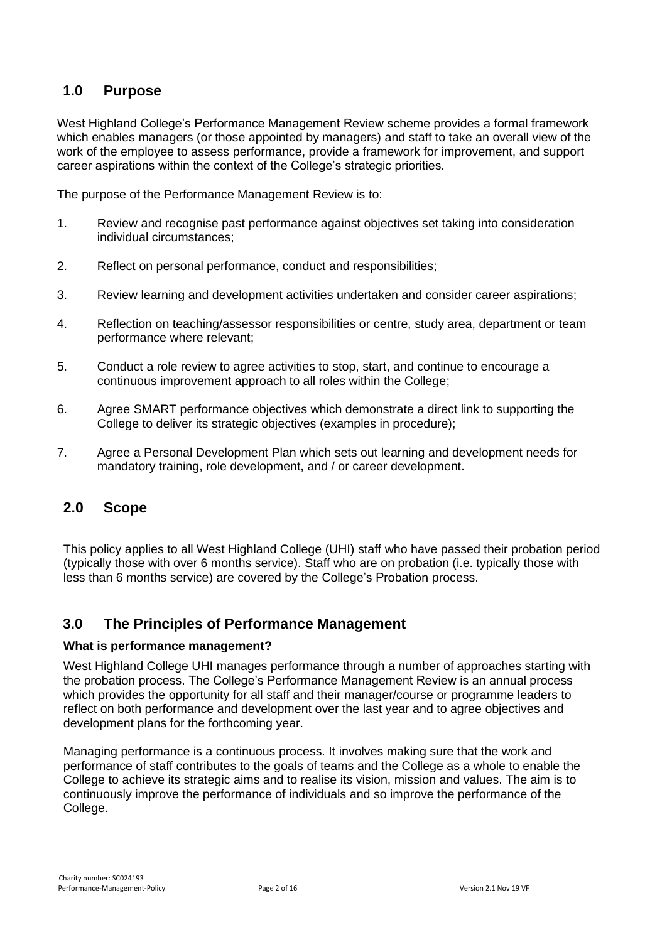#### **1.0 Purpose**

West Highland College's Performance Management Review scheme provides a formal framework which enables managers (or those appointed by managers) and staff to take an overall view of the work of the employee to assess performance, provide a framework for improvement, and support career aspirations within the context of the College's strategic priorities.

The purpose of the Performance Management Review is to:

- 1. Review and recognise past performance against objectives set taking into consideration individual circumstances;
- 2. Reflect on personal performance, conduct and responsibilities;
- 3. Review learning and development activities undertaken and consider career aspirations;
- 4. Reflection on teaching/assessor responsibilities or centre, study area, department or team performance where relevant;
- 5. Conduct a role review to agree activities to stop, start, and continue to encourage a continuous improvement approach to all roles within the College;
- 6. Agree SMART performance objectives which demonstrate a direct link to supporting the College to deliver its strategic objectives (examples in procedure);
- 7. Agree a Personal Development Plan which sets out learning and development needs for mandatory training, role development, and / or career development.

#### **2.0 Scope**

This policy applies to all West Highland College (UHI) staff who have passed their probation period (typically those with over 6 months service). Staff who are on probation (i.e. typically those with less than 6 months service) are covered by the College's Probation process.

#### **3.0 The Principles of Performance Management**

#### **What is performance management?**

West Highland College UHI manages performance through a number of approaches starting with the probation process. The College's Performance Management Review is an annual process which provides the opportunity for all staff and their manager/course or programme leaders to reflect on both performance and development over the last year and to agree objectives and development plans for the forthcoming year.

Managing performance is a continuous process. It involves making sure that the work and performance of staff contributes to the goals of teams and the College as a whole to enable the College to achieve its strategic aims and to realise its vision, mission and values. The aim is to continuously improve the performance of individuals and so improve the performance of the College.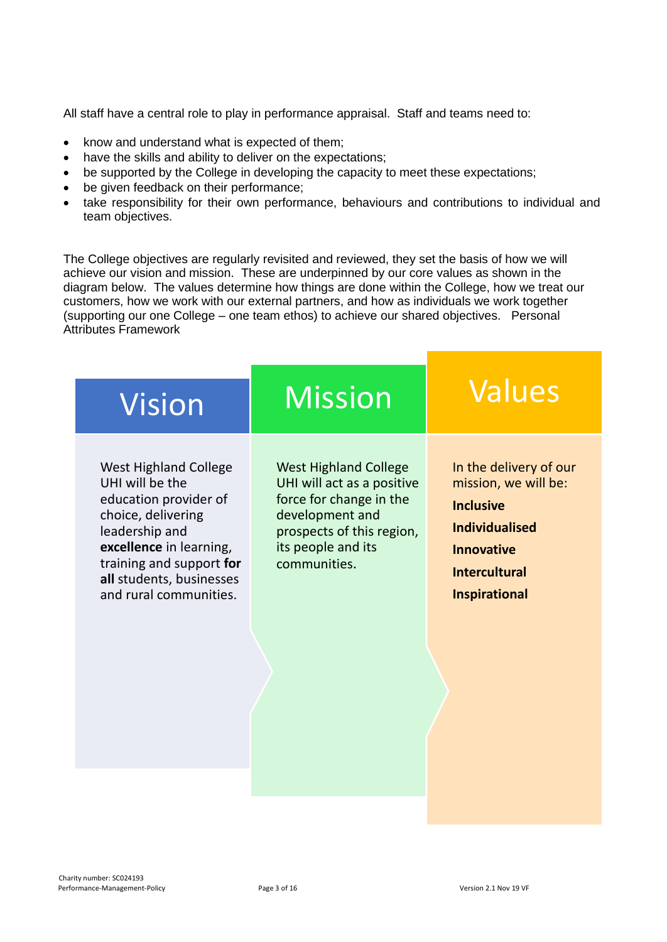All staff have a central role to play in performance appraisal. Staff and teams need to:

- know and understand what is expected of them;
- have the skills and ability to deliver on the expectations;
- be supported by the College in developing the capacity to meet these expectations;
- be given feedback on their performance;
- take responsibility for their own performance, behaviours and contributions to individual and team objectives.

The College objectives are regularly revisited and reviewed, they set the basis of how we will achieve our vision and mission. These are underpinned by our core values as shown in the diagram below. The values determine how things are done within the College, how we treat our customers, how we work with our external partners, and how as individuals we work together (supporting our one College – one team ethos) to achieve our shared objectives. Personal Attributes Framework

| <b>West Highland College</b><br>UHI will act as a positive<br>force for change in the<br>development and<br>prospects of this region,<br>its people and its<br>communities. | In the delivery of our<br>mission, we will be:<br><b>Inclusive</b><br><b>Individualised</b><br><b>Innovative</b><br><b>Intercultural</b><br><b>Inspirational</b> |
|-----------------------------------------------------------------------------------------------------------------------------------------------------------------------------|------------------------------------------------------------------------------------------------------------------------------------------------------------------|
|                                                                                                                                                                             |                                                                                                                                                                  |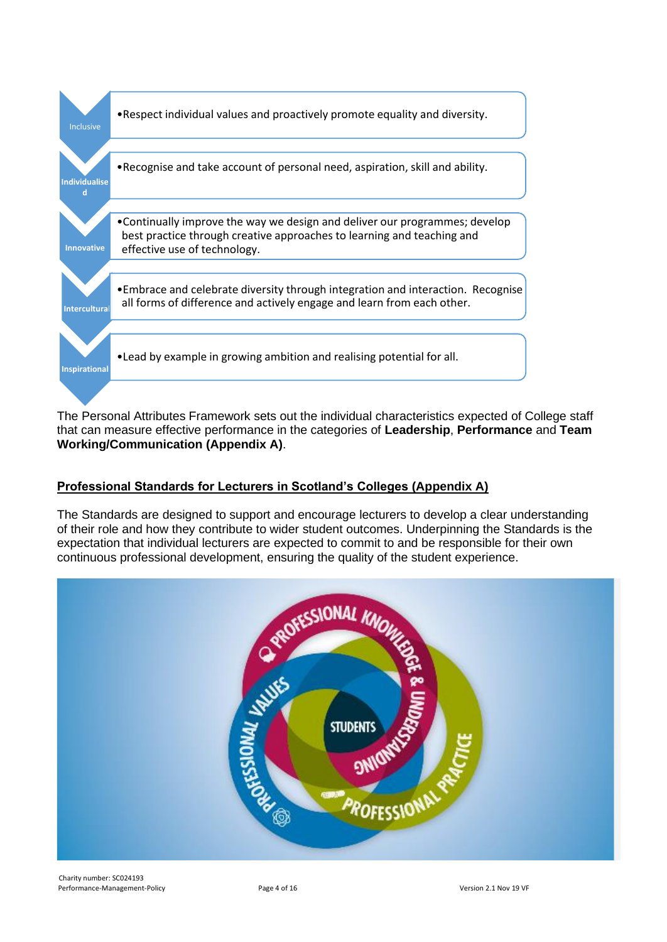

The Personal Attributes Framework sets out the individual characteristics expected of College staff that can measure effective performance in the categories of **Leadership**, **Performance** and **Team Working/Communication (Appendix A)**.

#### **Professional Standards for Lecturers in Scotland's Colleges (Appendix A)**

The Standards are designed to support and encourage lecturers to develop a clear understanding of their role and how they contribute to wider student outcomes. Underpinning the Standards is the expectation that individual lecturers are expected to commit to and be responsible for their own continuous professional development, ensuring the quality of the student experience.

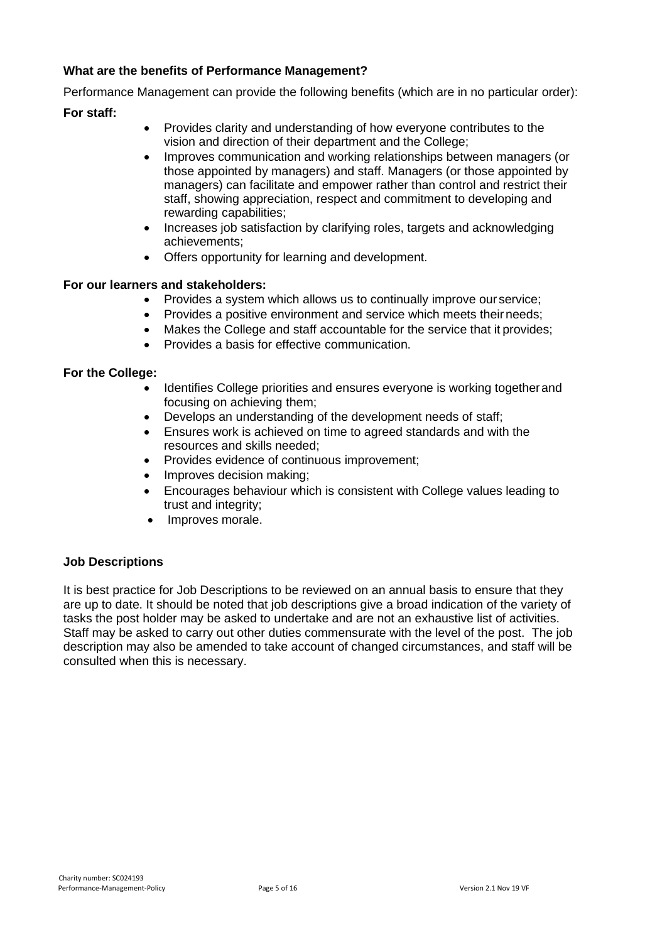#### **What are the benefits of Performance Management?**

Performance Management can provide the following benefits (which are in no particular order):

#### **For staff:**

- Provides clarity and understanding of how everyone contributes to the vision and direction of their department and the College;
- Improves communication and working relationships between managers (or those appointed by managers) and staff. Managers (or those appointed by managers) can facilitate and empower rather than control and restrict their staff, showing appreciation, respect and commitment to developing and rewarding capabilities;
- Increases job satisfaction by clarifying roles, targets and acknowledging achievements;
- Offers opportunity for learning and development.

#### **For our learners and stakeholders:**

- Provides a system which allows us to continually improve our service;
- Provides a positive environment and service which meets their needs;
- Makes the College and staff accountable for the service that it provides;
- Provides a basis for effective communication.

#### **For the College:**

- Identifies College priorities and ensures everyone is working togetherand focusing on achieving them;
- Develops an understanding of the development needs of staff;
- Ensures work is achieved on time to agreed standards and with the resources and skills needed;
- Provides evidence of continuous improvement;
- Improves decision making;
- Encourages behaviour which is consistent with College values leading to trust and integrity;
- Improves morale.

#### **Job Descriptions**

It is best practice for Job Descriptions to be reviewed on an annual basis to ensure that they are up to date. It should be noted that job descriptions give a broad indication of the variety of tasks the post holder may be asked to undertake and are not an exhaustive list of activities. Staff may be asked to carry out other duties commensurate with the level of the post. The job description may also be amended to take account of changed circumstances, and staff will be consulted when this is necessary.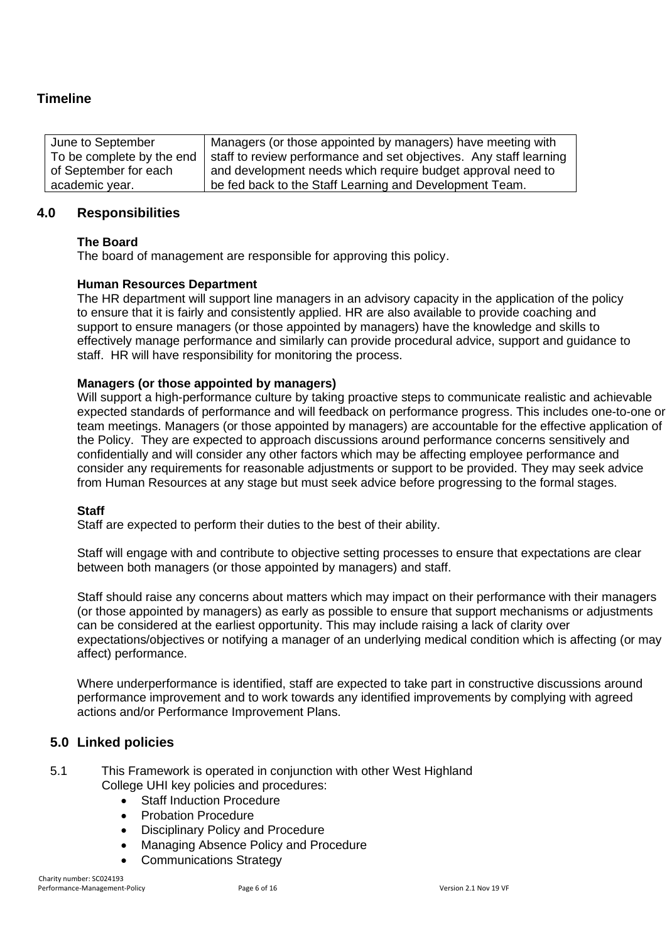#### **Timeline**

| June to September         | Managers (or those appointed by managers) have meeting with        |
|---------------------------|--------------------------------------------------------------------|
| To be complete by the end | staff to review performance and set objectives. Any staff learning |
| of September for each     | and development needs which require budget approval need to        |
| academic year.            | be fed back to the Staff Learning and Development Team.            |

#### **4.0 Responsibilities**

#### **The Board**

The board of management are responsible for approving this policy.

#### **Human Resources Department**

The HR department will support line managers in an advisory capacity in the application of the policy to ensure that it is fairly and consistently applied. HR are also available to provide coaching and support to ensure managers (or those appointed by managers) have the knowledge and skills to effectively manage performance and similarly can provide procedural advice, support and guidance to staff. HR will have responsibility for monitoring the process.

#### **Managers (or those appointed by managers)**

Will support a high-performance culture by taking proactive steps to communicate realistic and achievable expected standards of performance and will feedback on performance progress. This includes one-to-one or team meetings. Managers (or those appointed by managers) are accountable for the effective application of the Policy. They are expected to approach discussions around performance concerns sensitively and confidentially and will consider any other factors which may be affecting employee performance and consider any requirements for reasonable adjustments or support to be provided. They may seek advice from Human Resources at any stage but must seek advice before progressing to the formal stages.

#### **Staff**

Staff are expected to perform their duties to the best of their ability.

Staff will engage with and contribute to objective setting processes to ensure that expectations are clear between both managers (or those appointed by managers) and staff.

Staff should raise any concerns about matters which may impact on their performance with their managers (or those appointed by managers) as early as possible to ensure that support mechanisms or adjustments can be considered at the earliest opportunity. This may include raising a lack of clarity over expectations/objectives or notifying a manager of an underlying medical condition which is affecting (or may affect) performance.

Where underperformance is identified, staff are expected to take part in constructive discussions around performance improvement and to work towards any identified improvements by complying with agreed actions and/or Performance Improvement Plans.

#### **5.0 Linked policies**

- 5.1 This Framework is operated in conjunction with other West Highland College UHI key policies and procedures:
	- Staff Induction Procedure
	- Probation Procedure
	- Disciplinary Policy and Procedure
	- Managing Absence Policy and Procedure
	- Communications Strategy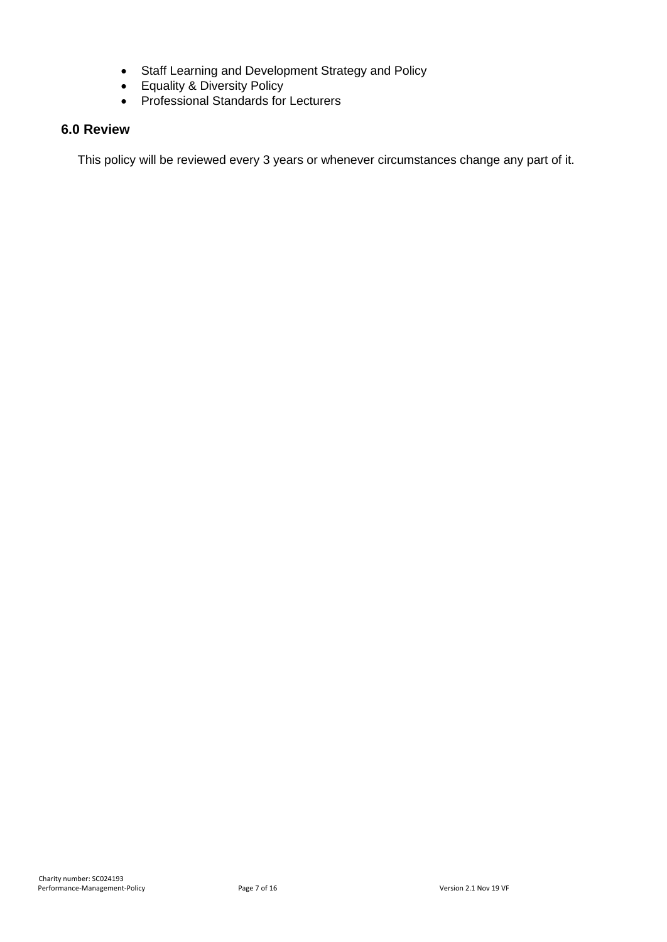- Staff Learning and Development Strategy and Policy
- Equality & Diversity Policy
- Professional Standards for Lecturers

#### **6.0 Review**

This policy will be reviewed every 3 years or whenever circumstances change any part of it.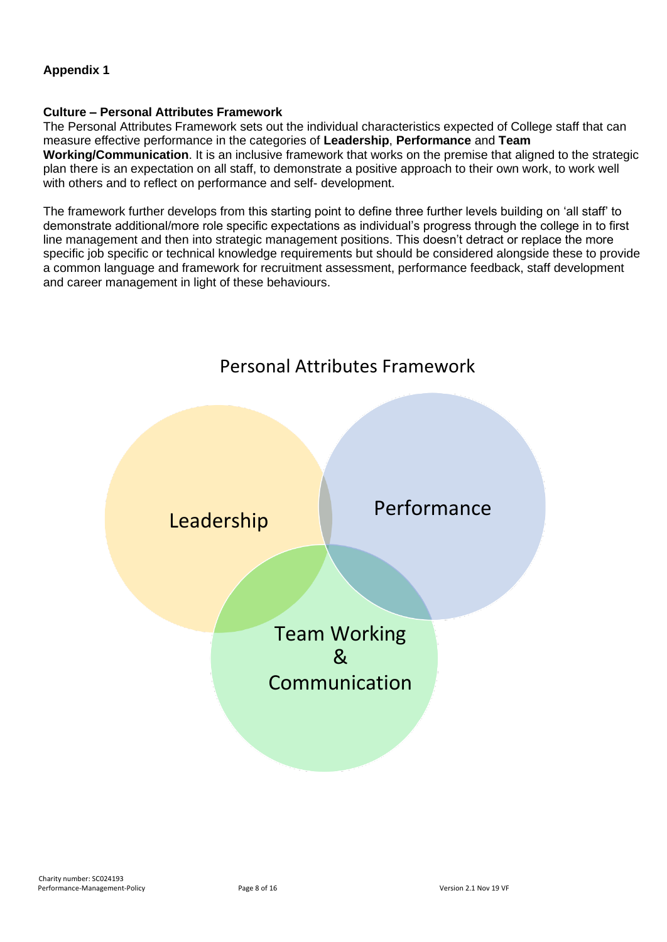#### **Appendix 1**

#### **Culture – Personal Attributes Framework**

The Personal Attributes Framework sets out the individual characteristics expected of College staff that can measure effective performance in the categories of **Leadership**, **Performance** and **Team Working/Communication**. It is an inclusive framework that works on the premise that aligned to the strategic plan there is an expectation on all staff, to demonstrate a positive approach to their own work, to work well with others and to reflect on performance and self- development.

The framework further develops from this starting point to define three further levels building on 'all staff' to demonstrate additional/more role specific expectations as individual's progress through the college in to first line management and then into strategic management positions. This doesn't detract or replace the more specific job specific or technical knowledge requirements but should be considered alongside these to provide a common language and framework for recruitment assessment, performance feedback, staff development and career management in light of these behaviours.

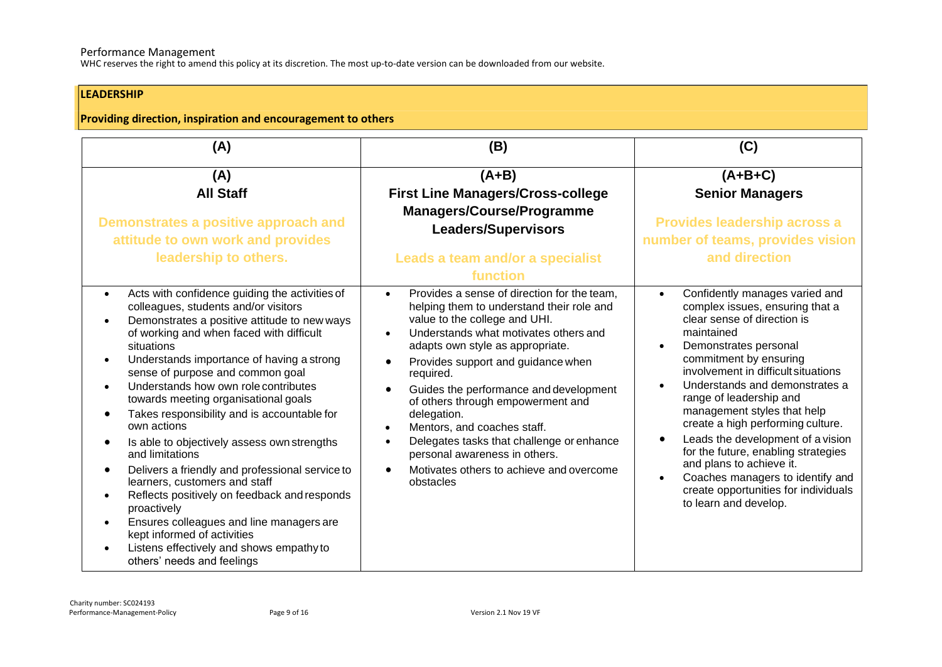#### Performance Management

WHC reserves the right to amend this policy at its discretion. The most up-to-date version can be downloaded from our website.

#### **LEADERSHIP**

#### **Providing direction, inspiration and encouragement to others**

| (A)                                                                                                                                                                                                                                                                                                                                                                                                                                                                                                                                                                                                                                                                                                                                                                                                                                                           | (B)                                                                                                                                                                                                                                                                                                                                                                                                                                                                                                                                                                                            | (C)                                                                                                                                                                                                                                                                                                                                                                                                                                                                                                                                                                                                                     |
|---------------------------------------------------------------------------------------------------------------------------------------------------------------------------------------------------------------------------------------------------------------------------------------------------------------------------------------------------------------------------------------------------------------------------------------------------------------------------------------------------------------------------------------------------------------------------------------------------------------------------------------------------------------------------------------------------------------------------------------------------------------------------------------------------------------------------------------------------------------|------------------------------------------------------------------------------------------------------------------------------------------------------------------------------------------------------------------------------------------------------------------------------------------------------------------------------------------------------------------------------------------------------------------------------------------------------------------------------------------------------------------------------------------------------------------------------------------------|-------------------------------------------------------------------------------------------------------------------------------------------------------------------------------------------------------------------------------------------------------------------------------------------------------------------------------------------------------------------------------------------------------------------------------------------------------------------------------------------------------------------------------------------------------------------------------------------------------------------------|
| (A)                                                                                                                                                                                                                                                                                                                                                                                                                                                                                                                                                                                                                                                                                                                                                                                                                                                           | $(A+B)$                                                                                                                                                                                                                                                                                                                                                                                                                                                                                                                                                                                        | $(A+B+C)$                                                                                                                                                                                                                                                                                                                                                                                                                                                                                                                                                                                                               |
| <b>All Staff</b>                                                                                                                                                                                                                                                                                                                                                                                                                                                                                                                                                                                                                                                                                                                                                                                                                                              | <b>First Line Managers/Cross-college</b>                                                                                                                                                                                                                                                                                                                                                                                                                                                                                                                                                       | <b>Senior Managers</b>                                                                                                                                                                                                                                                                                                                                                                                                                                                                                                                                                                                                  |
| Demonstrates a positive approach and<br>attitude to own work and provides<br>leadership to others.                                                                                                                                                                                                                                                                                                                                                                                                                                                                                                                                                                                                                                                                                                                                                            | <b>Managers/Course/Programme</b><br><b>Leaders/Supervisors</b><br>Leads a team and/or a specialist<br>function                                                                                                                                                                                                                                                                                                                                                                                                                                                                                 | Provides leadership across a<br>number of teams, provides vision<br>and direction                                                                                                                                                                                                                                                                                                                                                                                                                                                                                                                                       |
| Acts with confidence guiding the activities of<br>$\bullet$<br>colleagues, students and/or visitors<br>Demonstrates a positive attitude to new ways<br>of working and when faced with difficult<br>situations<br>Understands importance of having a strong<br>$\bullet$<br>sense of purpose and common goal<br>Understands how own role contributes<br>towards meeting organisational goals<br>Takes responsibility and is accountable for<br>own actions<br>Is able to objectively assess own strengths<br>and limitations<br>Delivers a friendly and professional service to<br>learners, customers and staff<br>Reflects positively on feedback and responds<br>$\bullet$<br>proactively<br>Ensures colleagues and line managers are<br>kept informed of activities<br>Listens effectively and shows empathy to<br>$\bullet$<br>others' needs and feelings | Provides a sense of direction for the team,<br>$\bullet$<br>helping them to understand their role and<br>value to the college and UHI.<br>Understands what motivates others and<br>adapts own style as appropriate.<br>Provides support and guidance when<br>$\bullet$<br>required.<br>Guides the performance and development<br>$\bullet$<br>of others through empowerment and<br>delegation.<br>Mentors, and coaches staff.<br>$\bullet$<br>Delegates tasks that challenge or enhance<br>$\bullet$<br>personal awareness in others.<br>Motivates others to achieve and overcome<br>obstacles | Confidently manages varied and<br>$\bullet$<br>complex issues, ensuring that a<br>clear sense of direction is<br>maintained<br>Demonstrates personal<br>$\bullet$<br>commitment by ensuring<br>involvement in difficult situations<br>Understands and demonstrates a<br>$\bullet$<br>range of leadership and<br>management styles that help<br>create a high performing culture.<br>Leads the development of a vision<br>$\bullet$<br>for the future, enabling strategies<br>and plans to achieve it.<br>Coaches managers to identify and<br>$\bullet$<br>create opportunities for individuals<br>to learn and develop. |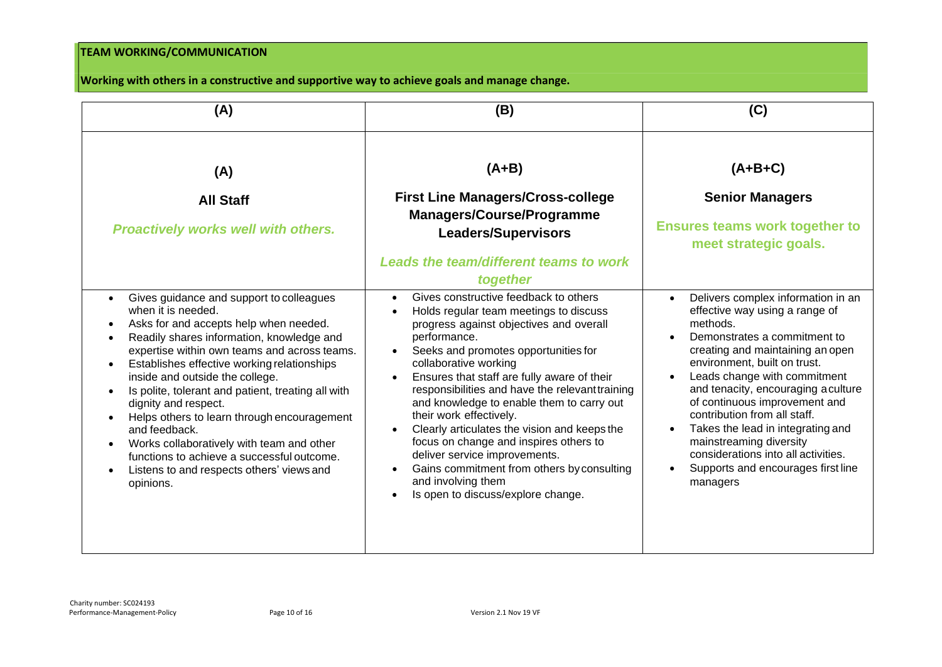#### **TEAM WORKING/COMMUNICATION**

#### **Working with others in a constructive and supportive way to achieve goals and manage change.**

| (A)                                                                                                                                                                                                                                                                                                                                                                                                                                                                                                                                                                                                                  | (B)                                                                                                                                                                                                                                                                                                                                                                                                                                                                                                                                                                                                                                                                                        | (C)                                                                                                                                                                                                                                                                                                                                                                                                                                                                                   |
|----------------------------------------------------------------------------------------------------------------------------------------------------------------------------------------------------------------------------------------------------------------------------------------------------------------------------------------------------------------------------------------------------------------------------------------------------------------------------------------------------------------------------------------------------------------------------------------------------------------------|--------------------------------------------------------------------------------------------------------------------------------------------------------------------------------------------------------------------------------------------------------------------------------------------------------------------------------------------------------------------------------------------------------------------------------------------------------------------------------------------------------------------------------------------------------------------------------------------------------------------------------------------------------------------------------------------|---------------------------------------------------------------------------------------------------------------------------------------------------------------------------------------------------------------------------------------------------------------------------------------------------------------------------------------------------------------------------------------------------------------------------------------------------------------------------------------|
| (A)                                                                                                                                                                                                                                                                                                                                                                                                                                                                                                                                                                                                                  | $(A+B)$                                                                                                                                                                                                                                                                                                                                                                                                                                                                                                                                                                                                                                                                                    | $(A+B+C)$                                                                                                                                                                                                                                                                                                                                                                                                                                                                             |
| <b>All Staff</b><br><b>Proactively works well with others.</b>                                                                                                                                                                                                                                                                                                                                                                                                                                                                                                                                                       | <b>First Line Managers/Cross-college</b><br><b>Managers/Course/Programme</b><br><b>Leaders/Supervisors</b><br><b>Leads the team/different teams to work</b>                                                                                                                                                                                                                                                                                                                                                                                                                                                                                                                                | <b>Senior Managers</b><br><b>Ensures teams work together to</b><br>meet strategic goals.                                                                                                                                                                                                                                                                                                                                                                                              |
| Gives guidance and support to colleagues<br>$\bullet$<br>when it is needed.<br>Asks for and accepts help when needed.<br>$\bullet$<br>Readily shares information, knowledge and<br>expertise within own teams and across teams.<br>Establishes effective working relationships<br>inside and outside the college.<br>Is polite, tolerant and patient, treating all with<br>dignity and respect.<br>Helps others to learn through encouragement<br>and feedback.<br>Works collaboratively with team and other<br>functions to achieve a successful outcome.<br>Listens to and respects others' views and<br>opinions. | together<br>Gives constructive feedback to others<br>$\bullet$<br>Holds regular team meetings to discuss<br>$\bullet$<br>progress against objectives and overall<br>performance.<br>Seeks and promotes opportunities for<br>$\bullet$<br>collaborative working<br>Ensures that staff are fully aware of their<br>responsibilities and have the relevant training<br>and knowledge to enable them to carry out<br>their work effectively.<br>Clearly articulates the vision and keeps the<br>focus on change and inspires others to<br>deliver service improvements.<br>Gains commitment from others by consulting<br>$\bullet$<br>and involving them<br>Is open to discuss/explore change. | Delivers complex information in an<br>effective way using a range of<br>methods.<br>Demonstrates a commitment to<br>creating and maintaining an open<br>environment, built on trust.<br>Leads change with commitment<br>and tenacity, encouraging a culture<br>of continuous improvement and<br>contribution from all staff.<br>Takes the lead in integrating and<br>mainstreaming diversity<br>considerations into all activities.<br>Supports and encourages first line<br>managers |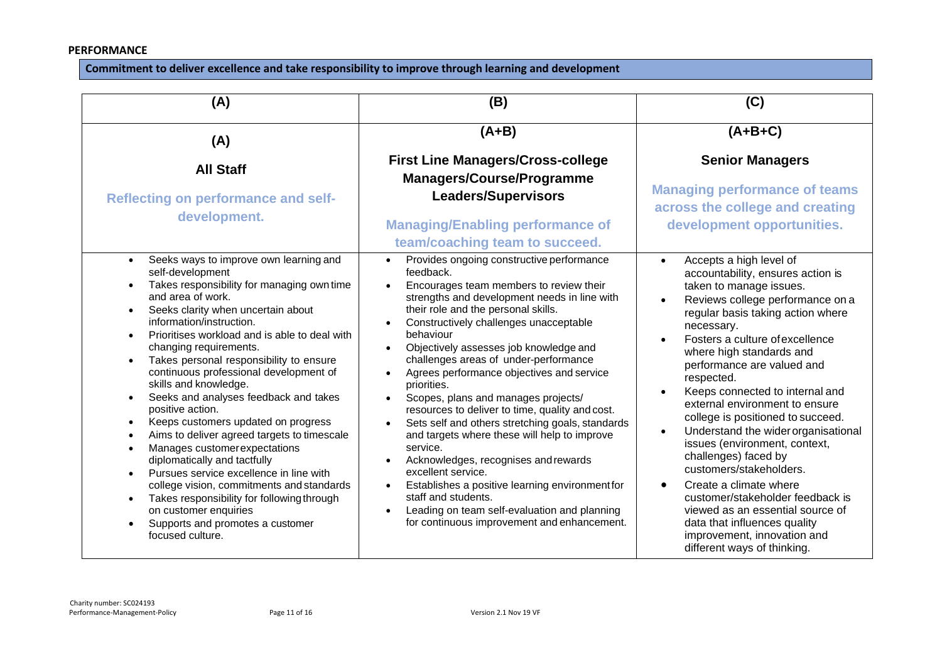#### **PERFORMANCE**

#### **Commitment to deliver excellence and take responsibility to improve through learning and development**

| (A)                                                                                                                                                                                                                                                                                                                                                                                                                                                                                                                                                                                                                                                                                                                                                                                                                                 | (B)                                                                                                                                                                                                                                                                                                                                                                                                                                                                                                                                                                                                                                                                                                                                                                                                                                                                       | (C)                                                                                                                                                                                                                                                                                                                                                                                                                                                                                                                                                                                                                                                                                                                                         |
|-------------------------------------------------------------------------------------------------------------------------------------------------------------------------------------------------------------------------------------------------------------------------------------------------------------------------------------------------------------------------------------------------------------------------------------------------------------------------------------------------------------------------------------------------------------------------------------------------------------------------------------------------------------------------------------------------------------------------------------------------------------------------------------------------------------------------------------|---------------------------------------------------------------------------------------------------------------------------------------------------------------------------------------------------------------------------------------------------------------------------------------------------------------------------------------------------------------------------------------------------------------------------------------------------------------------------------------------------------------------------------------------------------------------------------------------------------------------------------------------------------------------------------------------------------------------------------------------------------------------------------------------------------------------------------------------------------------------------|---------------------------------------------------------------------------------------------------------------------------------------------------------------------------------------------------------------------------------------------------------------------------------------------------------------------------------------------------------------------------------------------------------------------------------------------------------------------------------------------------------------------------------------------------------------------------------------------------------------------------------------------------------------------------------------------------------------------------------------------|
| (A)                                                                                                                                                                                                                                                                                                                                                                                                                                                                                                                                                                                                                                                                                                                                                                                                                                 | $(A+B)$                                                                                                                                                                                                                                                                                                                                                                                                                                                                                                                                                                                                                                                                                                                                                                                                                                                                   | $(A+B+C)$                                                                                                                                                                                                                                                                                                                                                                                                                                                                                                                                                                                                                                                                                                                                   |
| <b>All Staff</b>                                                                                                                                                                                                                                                                                                                                                                                                                                                                                                                                                                                                                                                                                                                                                                                                                    | <b>First Line Managers/Cross-college</b><br>Managers/Course/Programme                                                                                                                                                                                                                                                                                                                                                                                                                                                                                                                                                                                                                                                                                                                                                                                                     | <b>Senior Managers</b>                                                                                                                                                                                                                                                                                                                                                                                                                                                                                                                                                                                                                                                                                                                      |
| <b>Reflecting on performance and self-</b><br>development.                                                                                                                                                                                                                                                                                                                                                                                                                                                                                                                                                                                                                                                                                                                                                                          | <b>Leaders/Supervisors</b><br><b>Managing/Enabling performance of</b><br>team/coaching team to succeed.                                                                                                                                                                                                                                                                                                                                                                                                                                                                                                                                                                                                                                                                                                                                                                   | <b>Managing performance of teams</b><br>across the college and creating<br>development opportunities.                                                                                                                                                                                                                                                                                                                                                                                                                                                                                                                                                                                                                                       |
| Seeks ways to improve own learning and<br>self-development<br>Takes responsibility for managing own time<br>and area of work.<br>Seeks clarity when uncertain about<br>information/instruction.<br>Prioritises workload and is able to deal with<br>changing requirements.<br>Takes personal responsibility to ensure<br>continuous professional development of<br>skills and knowledge.<br>Seeks and analyses feedback and takes<br>positive action.<br>Keeps customers updated on progress<br>Aims to deliver agreed targets to timescale<br>Manages customer expectations<br>diplomatically and tactfully<br>Pursues service excellence in line with<br>college vision, commitments and standards<br>Takes responsibility for following through<br>on customer enquiries<br>Supports and promotes a customer<br>focused culture. | Provides ongoing constructive performance<br>$\bullet$<br>feedback.<br>Encourages team members to review their<br>$\bullet$<br>strengths and development needs in line with<br>their role and the personal skills.<br>Constructively challenges unacceptable<br>behaviour<br>Objectively assesses job knowledge and<br>challenges areas of under-performance<br>Agrees performance objectives and service<br>priorities.<br>Scopes, plans and manages projects/<br>resources to deliver to time, quality and cost.<br>Sets self and others stretching goals, standards<br>and targets where these will help to improve<br>service.<br>Acknowledges, recognises and rewards<br>excellent service.<br>Establishes a positive learning environment for<br>staff and students.<br>Leading on team self-evaluation and planning<br>for continuous improvement and enhancement. | Accepts a high level of<br>$\bullet$<br>accountability, ensures action is<br>taken to manage issues.<br>Reviews college performance on a<br>regular basis taking action where<br>necessary.<br>Fosters a culture of excellence<br>where high standards and<br>performance are valued and<br>respected.<br>Keeps connected to internal and<br>external environment to ensure<br>college is positioned to succeed.<br>Understand the wider organisational<br>issues (environment, context,<br>challenges) faced by<br>customers/stakeholders.<br>Create a climate where<br>customer/stakeholder feedback is<br>viewed as an essential source of<br>data that influences quality<br>improvement, innovation and<br>different ways of thinking. |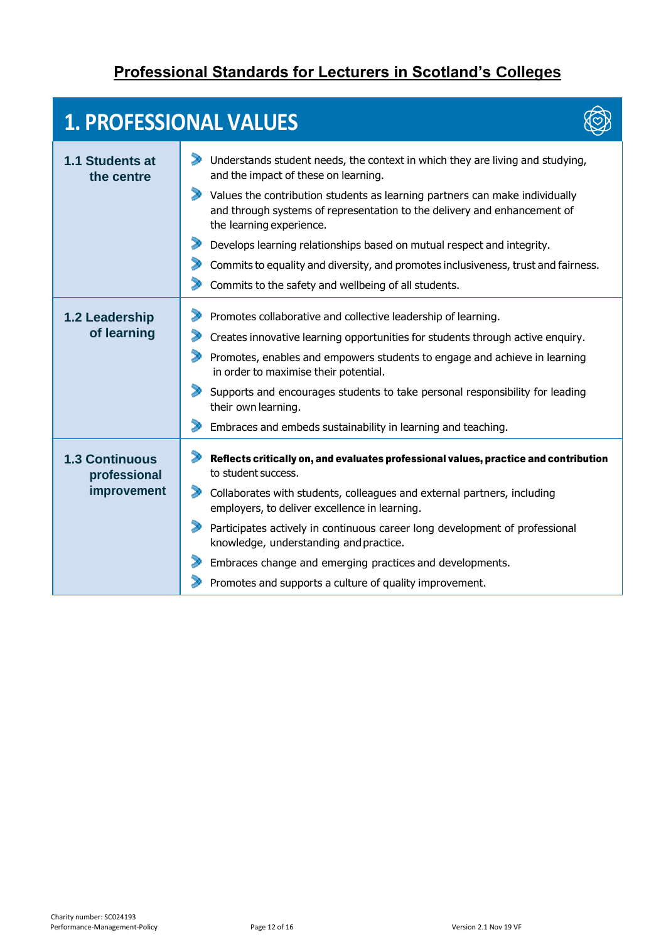#### **Professional Standards for Lecturers in Scotland's Colleges**

 $\heartsuit$ 

# **1. PROFESSIONAL VALUES**

| 1.1 Students at<br>the centre         | Understands student needs, the context in which they are living and studying,<br>and the impact of these on learning.                                                                                        |
|---------------------------------------|--------------------------------------------------------------------------------------------------------------------------------------------------------------------------------------------------------------|
|                                       | $\blacktriangleright$<br>Values the contribution students as learning partners can make individually<br>and through systems of representation to the delivery and enhancement of<br>the learning experience. |
|                                       | $\blacktriangleright$<br>Develops learning relationships based on mutual respect and integrity.                                                                                                              |
|                                       | Commits to equality and diversity, and promotes inclusiveness, trust and fairness.                                                                                                                           |
|                                       | Commits to the safety and wellbeing of all students.                                                                                                                                                         |
| 1.2 Leadership                        | Promotes collaborative and collective leadership of learning.                                                                                                                                                |
| of learning                           | Creates innovative learning opportunities for students through active enquiry.                                                                                                                               |
|                                       | Promotes, enables and empowers students to engage and achieve in learning<br>in order to maximise their potential.                                                                                           |
|                                       | $\blacktriangleright$<br>Supports and encourages students to take personal responsibility for leading<br>their own learning.                                                                                 |
|                                       | Embraces and embeds sustainability in learning and teaching.                                                                                                                                                 |
| <b>1.3 Continuous</b><br>professional | Reflects critically on, and evaluates professional values, practice and contribution<br>to student success.                                                                                                  |
| improvement                           | $\blacktriangleright$<br>Collaborates with students, colleagues and external partners, including<br>employers, to deliver excellence in learning.                                                            |
|                                       | Participates actively in continuous career long development of professional<br>knowledge, understanding and practice.                                                                                        |
|                                       | Embraces change and emerging practices and developments.                                                                                                                                                     |
|                                       | Promotes and supports a culture of quality improvement.                                                                                                                                                      |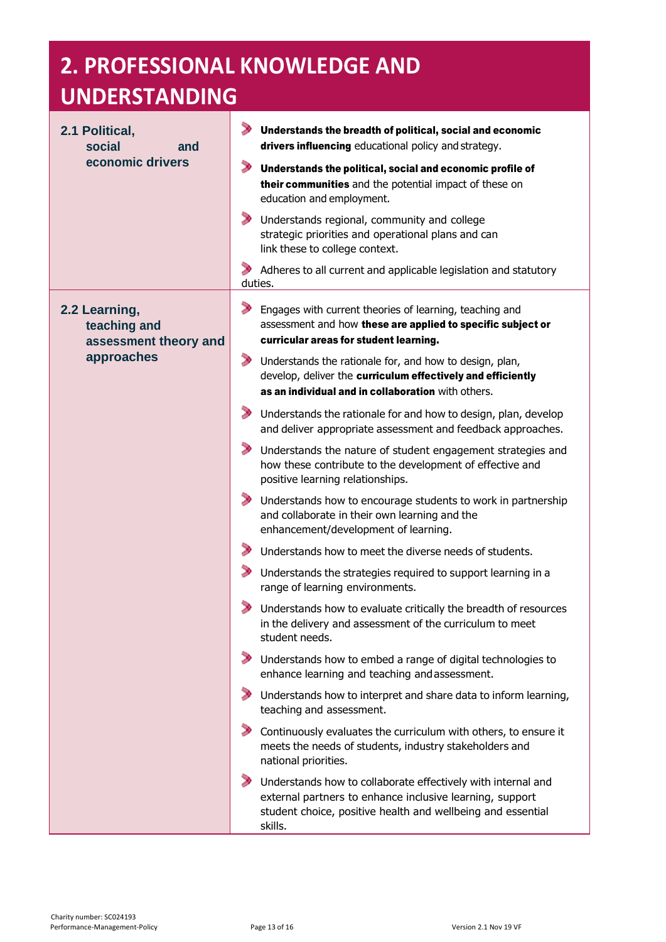# **2. PROFESSIONAL KNOWLEDGE AND**

# **UNDERSTANDING**

| 2.1 Political,<br>social<br>and<br>economic drivers    | Understands the breadth of political, social and economic<br>drivers influencing educational policy and strategy.                                                                                  |
|--------------------------------------------------------|----------------------------------------------------------------------------------------------------------------------------------------------------------------------------------------------------|
|                                                        | D<br>Understands the political, social and economic profile of<br>their communities and the potential impact of these on<br>education and employment.                                              |
|                                                        | Understands regional, community and college<br>strategic priorities and operational plans and can<br>link these to college context.                                                                |
|                                                        | Adheres to all current and applicable legislation and statutory<br>duties.                                                                                                                         |
| 2.2 Learning,<br>teaching and<br>assessment theory and | Engages with current theories of learning, teaching and<br>assessment and how these are applied to specific subject or<br>curricular areas for student learning.                                   |
| approaches                                             | Understands the rationale for, and how to design, plan,<br>develop, deliver the curriculum effectively and efficiently<br>as an individual and in collaboration with others.                       |
|                                                        | Understands the rationale for and how to design, plan, develop<br>and deliver appropriate assessment and feedback approaches.                                                                      |
|                                                        | Understands the nature of student engagement strategies and<br>how these contribute to the development of effective and<br>positive learning relationships.                                        |
|                                                        | Understands how to encourage students to work in partnership<br>and collaborate in their own learning and the<br>enhancement/development of learning.                                              |
|                                                        | Understands how to meet the diverse needs of students.                                                                                                                                             |
|                                                        | Understands the strategies required to support learning in a<br>range of learning environments.                                                                                                    |
|                                                        | Understands how to evaluate critically the breadth of resources<br>in the delivery and assessment of the curriculum to meet<br>student needs.                                                      |
|                                                        | Understands how to embed a range of digital technologies to<br>enhance learning and teaching and assessment.                                                                                       |
|                                                        | Understands how to interpret and share data to inform learning,<br>teaching and assessment.                                                                                                        |
|                                                        | Continuously evaluates the curriculum with others, to ensure it<br>meets the needs of students, industry stakeholders and<br>national priorities.                                                  |
|                                                        | Understands how to collaborate effectively with internal and<br>external partners to enhance inclusive learning, support<br>student choice, positive health and wellbeing and essential<br>skills. |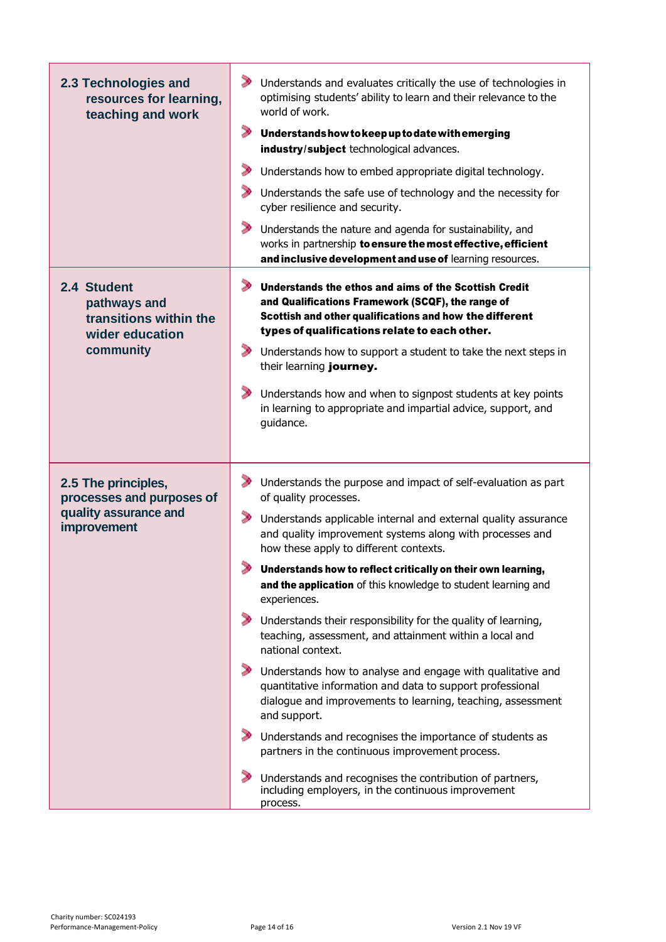| 2.3 Technologies and<br>resources for learning,<br>teaching and work                     | > Understands and evaluates critically the use of technologies in<br>optimising students' ability to learn and their relevance to the<br>world of work.<br>$\blacktriangleright$ Understands how to keep up to date with emerging<br>industry/subject technological advances.<br>$\blacktriangleright$<br>Understands how to embed appropriate digital technology.<br>$\blacktriangleright$ Understands the safe use of technology and the necessity for<br>cyber resilience and security.<br>Understands the nature and agenda for sustainability, and<br>works in partnership to ensure the most effective, efficient<br>and inclusive development and use of learning resources.                                                                                                                                                                                                                                                                                                                                                                                 |
|------------------------------------------------------------------------------------------|---------------------------------------------------------------------------------------------------------------------------------------------------------------------------------------------------------------------------------------------------------------------------------------------------------------------------------------------------------------------------------------------------------------------------------------------------------------------------------------------------------------------------------------------------------------------------------------------------------------------------------------------------------------------------------------------------------------------------------------------------------------------------------------------------------------------------------------------------------------------------------------------------------------------------------------------------------------------------------------------------------------------------------------------------------------------|
| 2.4 Student<br>pathways and<br>transitions within the<br>wider education<br>community    | $\blacktriangleright$<br>Understands the ethos and aims of the Scottish Credit<br>and Qualifications Framework (SCQF), the range of<br>Scottish and other qualifications and how the different<br>types of qualifications relate to each other.<br>$\blacktriangleright$<br>Understands how to support a student to take the next steps in<br>their learning journey.<br>$\blacktriangleright$<br>Understands how and when to signpost students at key points<br>in learning to appropriate and impartial advice, support, and<br>guidance.                                                                                                                                                                                                                                                                                                                                                                                                                                                                                                                         |
| 2.5 The principles,<br>processes and purposes of<br>quality assurance and<br>improvement | > Understands the purpose and impact of self-evaluation as part<br>of quality processes.<br>Understands applicable internal and external quality assurance<br>and quality improvement systems along with processes and<br>how these apply to different contexts.<br>Understands how to reflect critically on their own learning,<br>and the application of this knowledge to student learning and<br>experiences.<br>$\blacktriangleright$<br>Understands their responsibility for the quality of learning,<br>teaching, assessment, and attainment within a local and<br>national context.<br>$\rightarrow$<br>Understands how to analyse and engage with qualitative and<br>quantitative information and data to support professional<br>dialogue and improvements to learning, teaching, assessment<br>and support.<br>Understands and recognises the importance of students as<br>partners in the continuous improvement process.<br>Understands and recognises the contribution of partners,<br>including employers, in the continuous improvement<br>process. |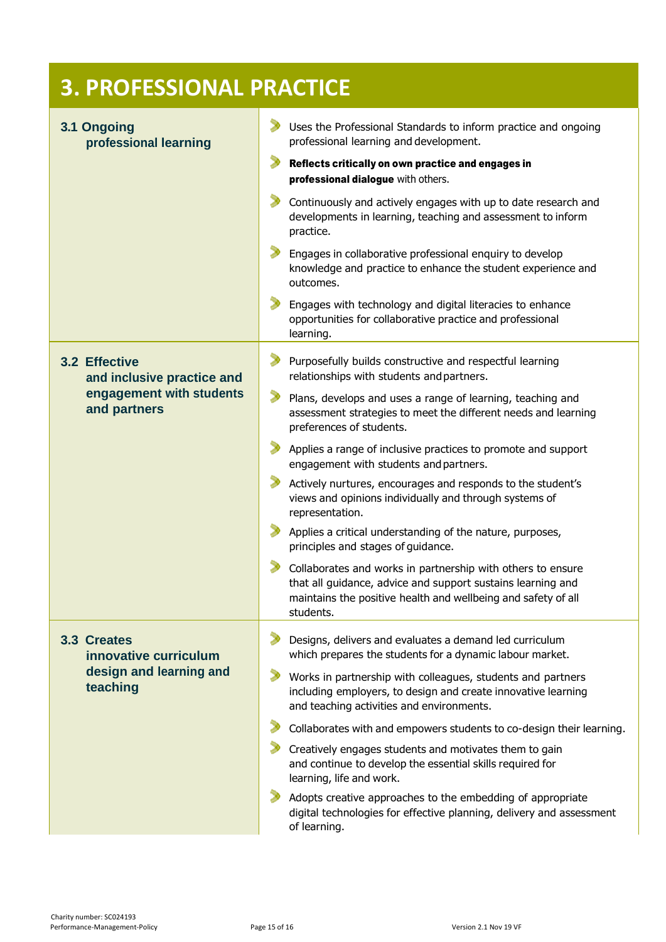| <b>3. PROFESSIONAL PRACTICE</b>                                                         |                                                                                                                                                                                                                                                                                                                                                                                                                                                                                                                                                                                                                                                                                                                                                                                                                                                                                                                   |  |
|-----------------------------------------------------------------------------------------|-------------------------------------------------------------------------------------------------------------------------------------------------------------------------------------------------------------------------------------------------------------------------------------------------------------------------------------------------------------------------------------------------------------------------------------------------------------------------------------------------------------------------------------------------------------------------------------------------------------------------------------------------------------------------------------------------------------------------------------------------------------------------------------------------------------------------------------------------------------------------------------------------------------------|--|
| 3.1 Ongoing<br>professional learning                                                    | Uses the Professional Standards to inform practice and ongoing<br>professional learning and development.<br>Reflects critically on own practice and engages in<br>professional dialogue with others.<br>Continuously and actively engages with up to date research and<br>developments in learning, teaching and assessment to inform<br>practice.<br>Engages in collaborative professional enquiry to develop<br>knowledge and practice to enhance the student experience and<br>outcomes.<br>Engages with technology and digital literacies to enhance                                                                                                                                                                                                                                                                                                                                                          |  |
| 3.2 Effective<br>and inclusive practice and<br>engagement with students<br>and partners | opportunities for collaborative practice and professional<br>learning.<br>Purposefully builds constructive and respectful learning<br>relationships with students and partners.<br>Plans, develops and uses a range of learning, teaching and<br>assessment strategies to meet the different needs and learning<br>preferences of students.<br>Applies a range of inclusive practices to promote and support<br>engagement with students and partners.<br>Actively nurtures, encourages and responds to the student's<br>views and opinions individually and through systems of<br>representation.<br>Applies a critical understanding of the nature, purposes,<br>principles and stages of guidance.<br>Collaborates and works in partnership with others to ensure<br>that all guidance, advice and support sustains learning and<br>maintains the positive health and wellbeing and safety of all<br>students. |  |
| 3.3 Creates<br>innovative curriculum<br>design and learning and<br>teaching             | Designs, delivers and evaluates a demand led curriculum<br>which prepares the students for a dynamic labour market.<br>Works in partnership with colleagues, students and partners<br>including employers, to design and create innovative learning<br>and teaching activities and environments.<br>Collaborates with and empowers students to co-design their learning.<br>Creatively engages students and motivates them to gain<br>and continue to develop the essential skills required for<br>learning, life and work.<br>Adopts creative approaches to the embedding of appropriate<br>digital technologies for effective planning, delivery and assessment<br>of learning.                                                                                                                                                                                                                                 |  |